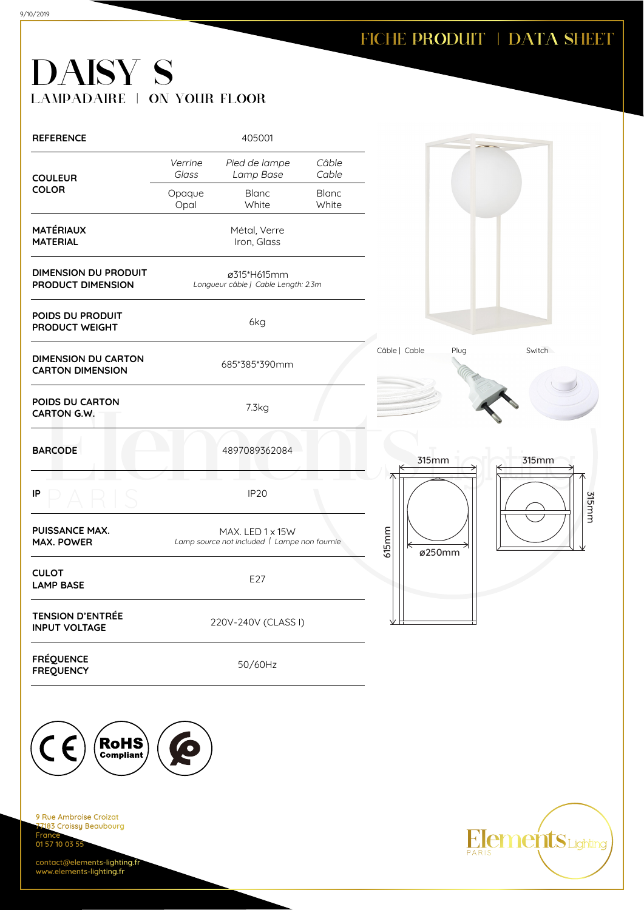**Elements** Lighting

# DAISY S LAMPADAIRE | ON YOUR FLOOR

| <b>REFERENCE</b>                                      |                  | 405001                                                           |                       |                       |        |
|-------------------------------------------------------|------------------|------------------------------------------------------------------|-----------------------|-----------------------|--------|
| <b>COULEUR</b>                                        | Verrine<br>Glass | Pied de lampe<br>Lamp Base                                       | Câble<br>Cable        |                       |        |
| <b>COLOR</b>                                          | Opaque<br>Opal   | <b>Blanc</b><br>White                                            | <b>Blanc</b><br>White |                       |        |
| <b>MATÉRIAUX</b><br><b>MATERIAL</b>                   |                  | Métal, Verre<br>Iron, Glass                                      |                       |                       |        |
| <b>DIMENSION DU PRODUIT</b><br>PRODUCT DIMENSION      |                  | ø315*H615mm<br>Longueur câble   Cable Length: 2.3m               |                       |                       |        |
| POIDS DU PRODUIT<br>PRODUCT WEIGHT                    |                  | 6kg                                                              |                       |                       |        |
| <b>DIMENSION DU CARTON</b><br><b>CARTON DIMENSION</b> |                  | 685*385*390mm                                                    |                       | Câble   Cable<br>Plug | Switch |
| POIDS DU CARTON<br><b>CARTON G.W.</b>                 |                  | 7.3kg                                                            |                       |                       |        |
| <b>BARCODE</b>                                        |                  | 4897089362084                                                    |                       | 315mm                 | 315mm  |
| IP                                                    |                  | <b>IP20</b>                                                      |                       |                       | 315mm  |
| <b>PUISSANCE MAX.</b><br><b>MAX. POWER</b>            |                  | MAX. LED 1 x 15W<br>Lamp source not included   Lampe non fournie |                       | 615mm<br>⇤<br>ø250mm  |        |
| <b>CULOT</b><br><b>LAMP BASE</b>                      |                  | E27                                                              |                       |                       |        |
| <b>TENSION D'ENTRÉE</b><br><b>INPUT VOLTAGE</b>       |                  | 220V-240V (CLASS I)                                              |                       |                       |        |
| <b>FRÉQUENCE</b><br><b>FREQUENCY</b>                  |                  | 50/60Hz                                                          |                       |                       |        |
|                                                       |                  |                                                                  |                       |                       |        |
| RoHS                                                  |                  |                                                                  |                       |                       |        |
|                                                       |                  |                                                                  |                       |                       |        |

9 Rue Ambroise Croizat nas<br>2183 Croissy Beaubourg Fran 01 57 10 03 55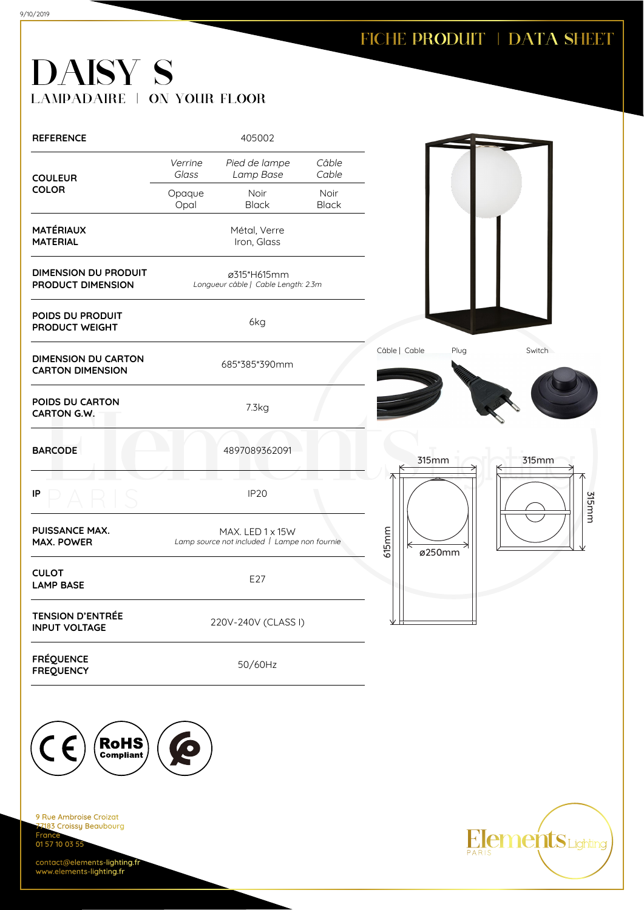**Elements** Lighting

# DAISY S LAMPADAIRE | ON YOUR FLOOR

| <b>REFERENCE</b>                                      |                  | 405002                                                           |                      |               |        |  |
|-------------------------------------------------------|------------------|------------------------------------------------------------------|----------------------|---------------|--------|--|
| <b>COULEUR</b>                                        | Verrine<br>Glass | Pied de lampe<br>Lamp Base                                       | Câble<br>Cable       |               |        |  |
| <b>COLOR</b>                                          | Opaque<br>Opal   | Noir<br><b>Black</b>                                             | Noir<br><b>Black</b> |               |        |  |
| <b>MATÉRIAUX</b><br><b>MATERIAL</b>                   |                  | Métal, Verre<br>Iron, Glass                                      |                      |               |        |  |
| <b>DIMENSION DU PRODUIT</b><br>PRODUCT DIMENSION      |                  | ø315*H615mm<br>Longueur câble   Cable Length: 2.3m               |                      |               |        |  |
| POIDS DU PRODUIT<br>PRODUCT WEIGHT                    |                  | 6kg                                                              |                      |               |        |  |
| <b>DIMENSION DU CARTON</b><br><b>CARTON DIMENSION</b> |                  | 685*385*390mm                                                    |                      | Câble   Cable | Plug   |  |
| POIDS DU CARTON<br>CARTON G.W.                        |                  | 7.3kg                                                            |                      |               |        |  |
| <b>BARCODE</b>                                        |                  | 4897089362091                                                    |                      |               | 315mm  |  |
| IP                                                    |                  | <b>IP20</b>                                                      |                      |               |        |  |
| <b>PUISSANCE MAX.</b><br><b>MAX. POWER</b>            |                  | MAX. LED 1 x 15W<br>Lamp source not included   Lampe non fournie |                      | $615$ mm      | ø250mm |  |
| <b>CULOT</b><br><b>LAMP BASE</b>                      |                  | E27                                                              |                      |               |        |  |
| <b>TENSION D'ENTRÉE</b><br><b>INPUT VOLTAGE</b>       |                  | 220V-240V (CLASS I)                                              |                      |               |        |  |
| <b>FRÉQUENCE</b><br><b>FREQUENCY</b>                  |                  | 50/60Hz                                                          |                      |               |        |  |

9 Rue Ambroise Croizat nas<br>2183 Croissy Beaubourg Fran 01 57 10 03 55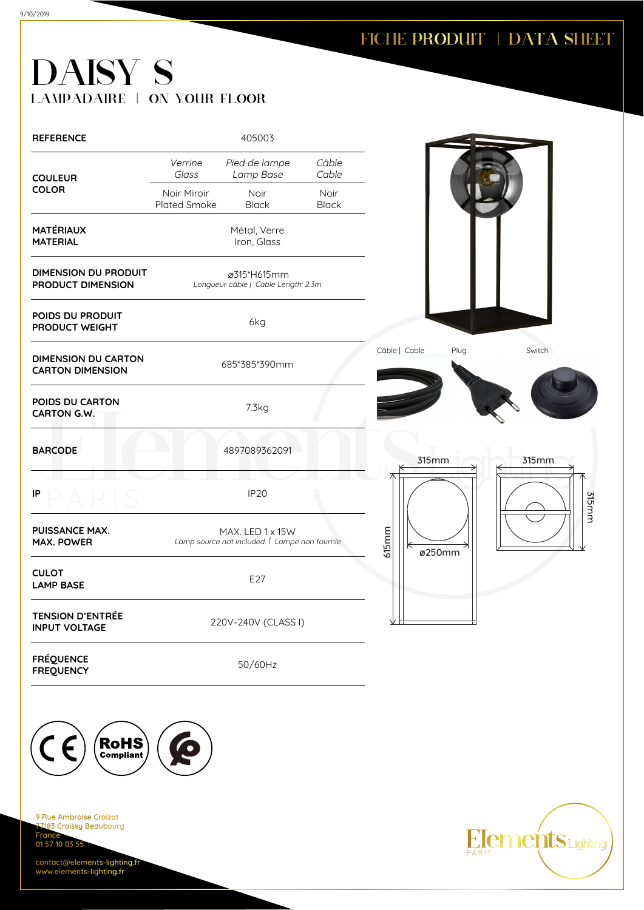**Elements** Lighting

## DAISY S LAMPADAIRE | ON YOUR FLOOR

| <b>REFERENCE</b>                                      |                             | 405003                                                           |                      |                       |        |
|-------------------------------------------------------|-----------------------------|------------------------------------------------------------------|----------------------|-----------------------|--------|
| <b>COULEUR</b>                                        | Verrine<br>Glass            | Pied de lampe<br>Lamp Base                                       | Câble<br>Cable       |                       |        |
| <b>COLOR</b>                                          | Noir Miroir<br>Plated Smoke | Noir<br><b>Black</b>                                             | Noir<br><b>Black</b> |                       |        |
| <b>MATÉRIAUX</b><br><b>MATERIAL</b>                   |                             | Métal, Verre<br>Iron, Glass                                      |                      |                       |        |
| <b>DIMENSION DU PRODUIT</b><br>PRODUCT DIMENSION      |                             | ø315*H615mm<br>Longueur câble   Cable Length: 2.3m               |                      |                       |        |
| POIDS DU PRODUIT<br>PRODUCT WEIGHT                    |                             | 6kg                                                              |                      |                       |        |
| <b>DIMENSION DU CARTON</b><br><b>CARTON DIMENSION</b> |                             | 685*385*390mm                                                    |                      | Câble   Cable<br>Plug | Switch |
| POIDS DU CARTON<br>CARTON G.W.                        |                             | 7.3kg                                                            |                      |                       |        |
| <b>BARCODE</b>                                        |                             | 4897089362091                                                    |                      | 315mm                 | 315mm  |
| IP                                                    |                             | <b>IP20</b>                                                      |                      |                       | 315mm  |
| PUISSANCE MAX.<br><b>MAX. POWER</b>                   |                             | MAX. LED 1 x 15W<br>Lamp source not included   Lampe non fournie |                      | 615mm<br>К<br>ø250mm  |        |
| <b>CULOT</b><br><b>LAMP BASE</b>                      |                             | E27                                                              |                      |                       |        |
| <b>TENSION D'ENTRÉE</b><br><b>INPUT VOLTAGE</b>       |                             | 220V-240V (CLASS I)                                              |                      |                       |        |
| <b>FRÉQUENCE</b><br><b>FREQUENCY</b>                  |                             | 50/60Hz                                                          |                      |                       |        |

9 Rue Ambroise Croizat nes Almerence<br><mark>183 Croissy Beaubourg</mark> **France** 01 57 10 03 55

 $\boldsymbol{\mathcal{P}}$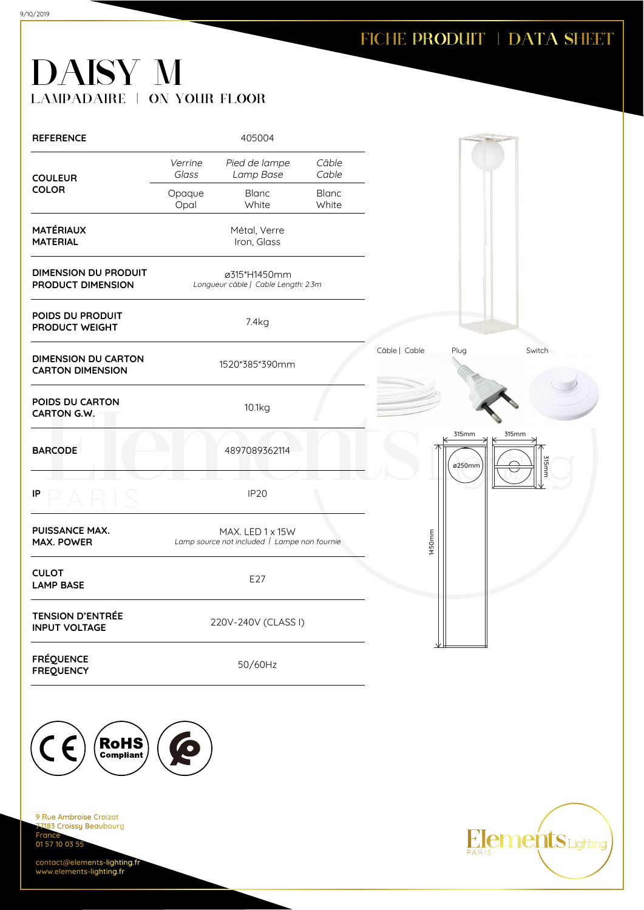# DAISY M LAMPADAIRE | ON YOUR FLOOR

| <b>REFERENCE</b>                                      |                  | 405004                                                           |                       |               |                 |                |
|-------------------------------------------------------|------------------|------------------------------------------------------------------|-----------------------|---------------|-----------------|----------------|
| <b>COULEUR</b>                                        | Verrine<br>Glass | Pied de lampe<br>Lamp Base                                       | Câble<br>Cable        |               |                 |                |
| <b>COLOR</b>                                          | Opaque<br>Opal   | <b>Blanc</b><br>White                                            | <b>Blanc</b><br>White |               |                 |                |
| <b>MATÉRIAUX</b><br><b>MATERIAL</b>                   |                  | Métal, Verre<br>Iron, Glass                                      |                       |               |                 |                |
| <b>DIMENSION DU PRODUIT</b><br>PRODUCT DIMENSION      |                  | ø315*H1450mm<br>Longueur câble   Cable Length: 2.3m              |                       |               |                 |                |
| POIDS DU PRODUIT<br>PRODUCT WEIGHT                    |                  | 7.4kg                                                            |                       |               |                 |                |
| <b>DIMENSION DU CARTON</b><br><b>CARTON DIMENSION</b> |                  | 1520*385*390mm                                                   |                       | Câble   Cable | Plug            | Switch         |
| POIDS DU CARTON<br><b>CARTON G.W.</b>                 |                  | 10.1kg                                                           |                       |               |                 |                |
| <b>BARCODE</b>                                        |                  | 4897089362114                                                    |                       |               | 315mm<br>ø250mm | 315mm<br>315mm |
| IP                                                    |                  | <b>IP20</b>                                                      |                       |               |                 |                |
| PUISSANCE MAX.<br><b>MAX. POWER</b>                   |                  | MAX. LED 1 x 15W<br>Lamp source not included   Lampe non fournie |                       | 1450mm        |                 |                |
| <b>CULOT</b><br><b>LAMP BASE</b>                      |                  | E27                                                              |                       |               |                 |                |
| <b>TENSION D'ENTRÉE</b><br><b>INPUT VOLTAGE</b>       |                  | 220V-240V (CLASS I)                                              |                       |               |                 |                |
| <b>FRÉQUENCE</b><br><b>FREQUENCY</b>                  |                  | 50/60Hz                                                          |                       |               |                 |                |



9 Rue Ambroise Croizat nes Almerence<br><mark>183 Croissy Beaubourg</mark> **France** 01 57 10 03 55

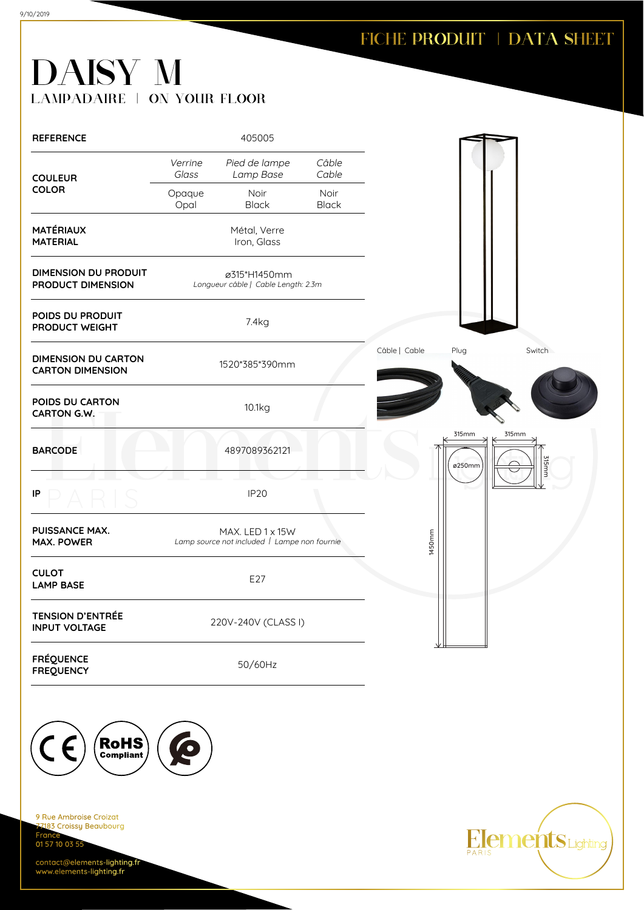# DAISY M LAMPADAIRE | ON YOUR FLOOR

| <b>REFERENCE</b>                                      |                  | 405005                                                           |                      |               |                 |                |
|-------------------------------------------------------|------------------|------------------------------------------------------------------|----------------------|---------------|-----------------|----------------|
| <b>COULEUR</b>                                        | Verrine<br>Glass | Pied de lampe<br>Lamp Base                                       | Câble<br>Cable       |               |                 |                |
| <b>COLOR</b>                                          | Opaque<br>Opal   | Noir<br><b>Black</b>                                             | Noir<br><b>Black</b> |               |                 |                |
| <b>MATÉRIAUX</b><br><b>MATERIAL</b>                   |                  | Métal, Verre<br>Iron, Glass                                      |                      |               |                 |                |
| <b>DIMENSION DU PRODUIT</b><br>PRODUCT DIMENSION      |                  | ø315*H1450mm<br>Longueur câble   Cable Length: 2.3m              |                      |               |                 |                |
| POIDS DU PRODUIT<br>PRODUCT WEIGHT                    |                  | 7.4kg                                                            |                      |               |                 |                |
| <b>DIMENSION DU CARTON</b><br><b>CARTON DIMENSION</b> |                  | 1520*385*390mm                                                   |                      | Câble   Cable | Plug            | Switch         |
| POIDS DU CARTON<br><b>CARTON G.W.</b>                 |                  | 10.1kg                                                           |                      |               |                 |                |
| <b>BARCODE</b>                                        |                  | 4897089362121                                                    |                      |               | 315mm<br>ø250mm | 315mm<br>315mm |
| IP                                                    |                  | IP <sub>20</sub>                                                 |                      |               |                 |                |
| PUISSANCE MAX.<br><b>MAX. POWER</b>                   |                  | MAX. LED 1 x 15W<br>Lamp source not included   Lampe non fournie |                      | 1450mm        |                 |                |
| <b>CULOT</b><br><b>LAMP BASE</b>                      |                  | E27                                                              |                      |               |                 |                |
| <b>TENSION D'ENTRÉE</b><br><b>INPUT VOLTAGE</b>       |                  | 220V-240V (CLASS I)                                              |                      |               |                 |                |
| <b>FRÉQUENCE</b><br><b>FREQUENCY</b>                  |                  | 50/60Hz                                                          |                      |               |                 |                |



9 Rue Ambroise Croizat nes Almerence<br><mark>183 Croissy Beaubourg</mark> **France** 01 57 10 03 55